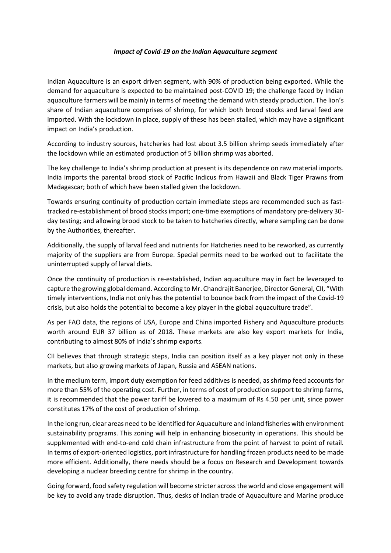## *Impact of Covid-19 on the Indian Aquaculture segment*

Indian Aquaculture is an export driven segment, with 90% of production being exported. While the demand for aquaculture is expected to be maintained post-COVID 19; the challenge faced by Indian aquaculture farmers will be mainly in terms of meeting the demand with steady production. The lion's share of Indian aquaculture comprises of shrimp, for which both brood stocks and larval feed are imported. With the lockdown in place, supply of these has been stalled, which may have a significant impact on India's production.

According to industry sources, hatcheries had lost about 3.5 billion shrimp seeds immediately after the lockdown while an estimated production of 5 billion shrimp was aborted.

The key challenge to India's shrimp production at present is its dependence on raw material imports. India imports the parental brood stock of Pacific Indicus from Hawaii and Black Tiger Prawns from Madagascar; both of which have been stalled given the lockdown.

Towards ensuring continuity of production certain immediate steps are recommended such as fasttracked re-establishment of brood stocks import; one-time exemptions of mandatory pre-delivery 30 day testing; and allowing brood stock to be taken to hatcheries directly, where sampling can be done by the Authorities, thereafter.

Additionally, the supply of larval feed and nutrients for Hatcheries need to be reworked, as currently majority of the suppliers are from Europe. Special permits need to be worked out to facilitate the uninterrupted supply of larval diets.

Once the continuity of production is re-established, Indian aquaculture may in fact be leveraged to capture the growing global demand. According to Mr. Chandrajit Banerjee, Director General, CII, "With timely interventions, India not only has the potential to bounce back from the impact of the Covid-19 crisis, but also holds the potential to become a key player in the global aquaculture trade".

As per FAO data, the regions of USA, Europe and China imported Fishery and Aquaculture products worth around EUR 37 billion as of 2018. These markets are also key export markets for India, contributing to almost 80% of India's shrimp exports.

CII believes that through strategic steps, India can position itself as a key player not only in these markets, but also growing markets of Japan, Russia and ASEAN nations.

In the medium term, import duty exemption for feed additives is needed, as shrimp feed accounts for more than 55% of the operating cost. Further, in terms of cost of production support to shrimp farms, it is recommended that the power tariff be lowered to a maximum of Rs 4.50 per unit, since power constitutes 17% of the cost of production of shrimp.

In the long run, clear areas need to be identified for Aquaculture and inland fisheries with environment sustainability programs. This zoning will help in enhancing biosecurity in operations. This should be supplemented with end-to-end cold chain infrastructure from the point of harvest to point of retail. In terms of export-oriented logistics, port infrastructure for handling frozen products need to be made more efficient. Additionally, there needs should be a focus on Research and Development towards developing a nuclear breeding centre for shrimp in the country.

Going forward, food safety regulation will become stricter across the world and close engagement will be key to avoid any trade disruption. Thus, desks of Indian trade of Aquaculture and Marine produce